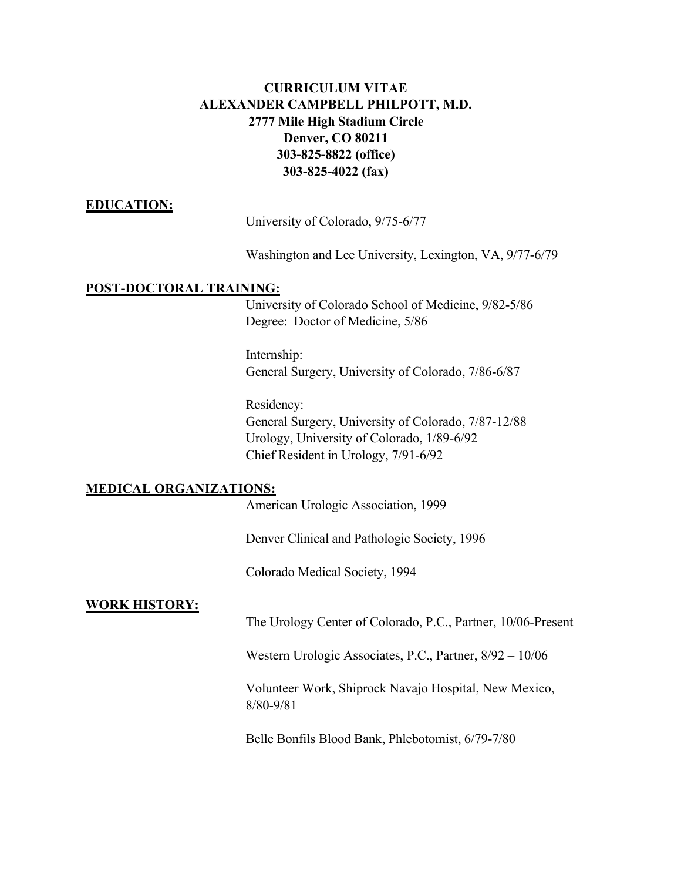# **CURRICULUM VITAE ALEXANDER CAMPBELL PHILPOTT, M.D. 2777 Mile High Stadium Circle Denver, CO 80211 303-825-8822 (office) 303-825-4022 (fax)**

### **EDUCATION:**

University of Colorado, 9/75-6/77

Washington and Lee University, Lexington, VA, 9/77-6/79

### **POST-DOCTORAL TRAINING:**

University of Colorado School of Medicine, 9/82-5/86 Degree: Doctor of Medicine, 5/86

Internship: General Surgery, University of Colorado, 7/86-6/87

Residency: General Surgery, University of Colorado, 7/87-12/88 Urology, University of Colorado, 1/89-6/92 Chief Resident in Urology, 7/91-6/92

#### **MEDICAL ORGANIZATIONS:**

American Urologic Association, 1999

Denver Clinical and Pathologic Society, 1996

Colorado Medical Society, 1994

### **WORK HISTORY:**

The Urology Center of Colorado, P.C., Partner, 10/06-Present

Western Urologic Associates, P.C., Partner, 8/92 – 10/06

Volunteer Work, Shiprock Navajo Hospital, New Mexico, 8/80-9/81

Belle Bonfils Blood Bank, Phlebotomist, 6/79-7/80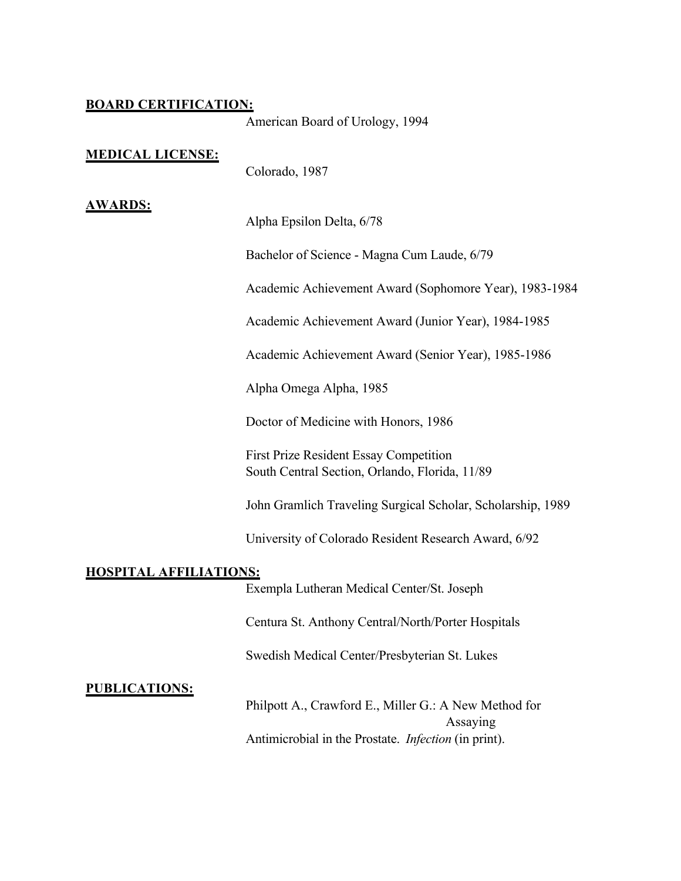### **BOARD CERTIFICATION:**

American Board of Urology, 1994

#### **MEDICAL LICENSE:**

Colorado, 1987

## **AWARDS:**

Alpha Epsilon Delta, 6/78

Bachelor of Science - Magna Cum Laude, 6/79

Academic Achievement Award (Sophomore Year), 1983-1984

Academic Achievement Award (Junior Year), 1984-1985

Academic Achievement Award (Senior Year), 1985-1986

Alpha Omega Alpha, 1985

Doctor of Medicine with Honors, 1986

First Prize Resident Essay Competition South Central Section, Orlando, Florida, 11/89

John Gramlich Traveling Surgical Scholar, Scholarship, 1989

University of Colorado Resident Research Award, 6/92

#### **HOSPITAL AFFILIATIONS:**

Exempla Lutheran Medical Center/St. Joseph

Centura St. Anthony Central/North/Porter Hospitals

Swedish Medical Center/Presbyterian St. Lukes

**PUBLICATIONS:**

Philpott A., Crawford E., Miller G.: A New Method for Assaying Antimicrobial in the Prostate. *Infection* (in print).